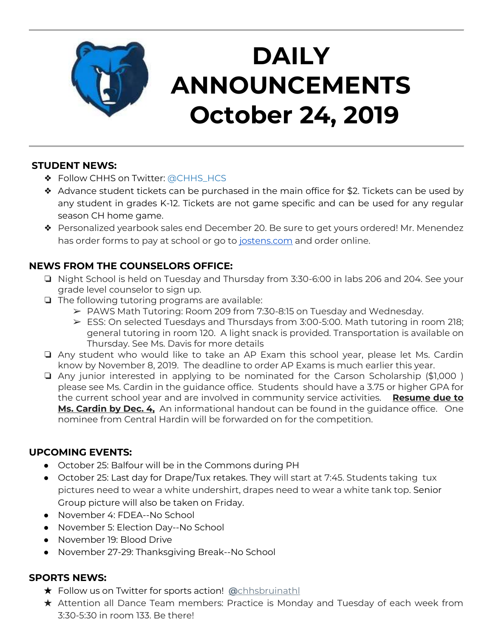

# **DAILY ANNOUNCEMENTS October 24, 2019**

#### **STUDENT NEWS:**

- ❖ Follow CHHS on Twitter: [@CHHS\\_HCS](https://twitter.com/CHHS_HCS)
- ❖ Advance student tickets can be purchased in the main office for \$2. Tickets can be used by any student in grades K-12. Tickets are not game specific and can be used for any regular season CH home game.
- ❖ Personalized yearbook sales end December 20. Be sure to get yours ordered! Mr. Menendez has order forms to pay at school or go to [jostens.com](http://jostens.com/) and order online.

## **NEWS FROM THE COUNSELORS OFFICE:**

- ❏ Night School is held on Tuesday and Thursday from 3:30-6:00 in labs 206 and 204. See your grade level counselor to sign up.
- ❏ The following tutoring programs are available:
	- ➢ PAWS Math Tutoring: Room 209 from 7:30-8:15 on Tuesday and Wednesday.
	- ➢ ESS: On selected Tuesdays and Thursdays from 3:00-5:00. Math tutoring in room 218; general tutoring in room 120. A light snack is provided. Transportation is available on Thursday. See Ms. Davis for more details
- ❏ Any student who would like to take an AP Exam this school year, please let Ms. Cardin know by November 8, 2019. The deadline to order AP Exams is much earlier this year.
- ❏ Any junior interested in applying to be nominated for the Carson Scholarship (\$1,000 ) please see Ms. Cardin in the guidance office. Students should have a 3.75 or higher GPA for the current school year and are involved in community service activities. **Resume due to Ms. Cardin by Dec. 4,** An informational handout can be found in the guidance office. One nominee from Central Hardin will be forwarded on for the competition.

#### **UPCOMING EVENTS:**

- October 25: Balfour will be in the Commons during PH
- October 25: Last day for Drape/Tux retakes. They will start at 7:45. Students taking tux pictures need to wear a white undershirt, drapes need to wear a white tank top. Senior Group picture will also be taken on Friday.
- November 4: FDEA--No School
- November 5: Election Day--No School
- November 19: Blood Drive
- November 27-29: Thanksgiving Break--No School

#### **SPORTS NEWS:**

- ★ Follow us on Twitter for sports action! **[@](https://twitter.com/chhsbruinathl)**[chhsbruinathl](https://twitter.com/chhsbruinathl)
- ★ Attention all Dance Team members: Practice is Monday and Tuesday of each week from 3:30-5:30 in room 133. Be there!